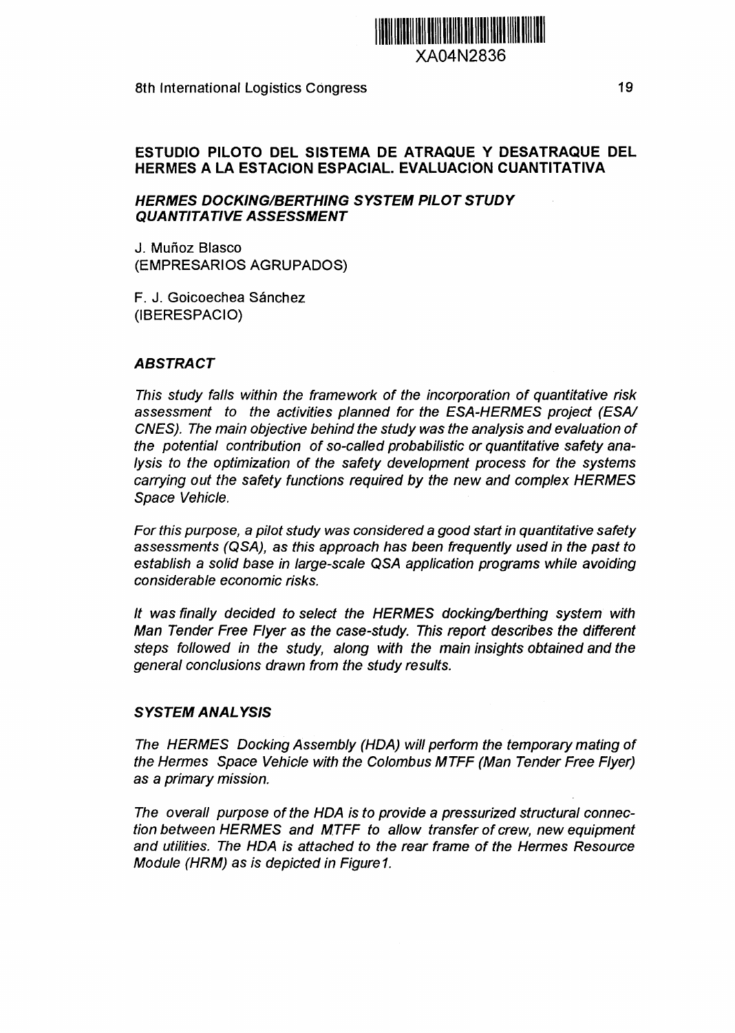

XA04N2836

8th International Logistics Congress 19

## **ESTUDIO PILOTO DEL SISTEMA DE ATRAQUE Y DESATRAQUE DEL HERMES A LA ESTACIÓN ESPACIAL. EVALUACIÓN CUANTITATIVA**

### **HERMES DOCKING/BERTHING SYSTEM PILOT STUDY QUANTITATIVE ASSESSMENT**

J. Muñoz Blasco (EMPRESARIOS AGRUPADOS)

F. J. Goicoechea Sánchez (IBERESPACIO)

### **ABSTRACT**

This study falls within the framework of the incorporation of quantitative risk assessment to the activities planned for the ESA-HERMES project (ESA/ CNES). The main objective behind the study was the analysis and evaluation of the potential contribution of so-called probabilistic or quantitative safety analysis to the optimization of the safety development process for the systems carrying out the safety functions required by the new and complex HERMES Space Vehicle.

For this purpose, a pilot study was considered a good start in quantitative safety assessments (QSA), as this approach has been frequently used in the past to establish a solid base in large-scale QSA application programs while avoiding considerable economic risks.

It was finally decided to select the HERMES docking/berthing system with Man Tender Free Flyer as the case-study. This report describes the different steps followed in the study, along with the main insights obtained and the general conclusions drawn from the study results.

### **SYSTEM ANALYSIS**

The HERMES Docking Assembly (HDA) will perform the temporary mating of the Hermes Space Vehicle with the Colombus MTFF (Man Tender Free Flyer) as a primary mission.

The overall purpose of the HDA is to provide a pressurized structural connection between HERMES and MTFF to allow transfer of crew, new equipment and utilities. The HDA is attached to the rear frame of the Hermes Resource Module (HRM) as is depicted in Figure 1.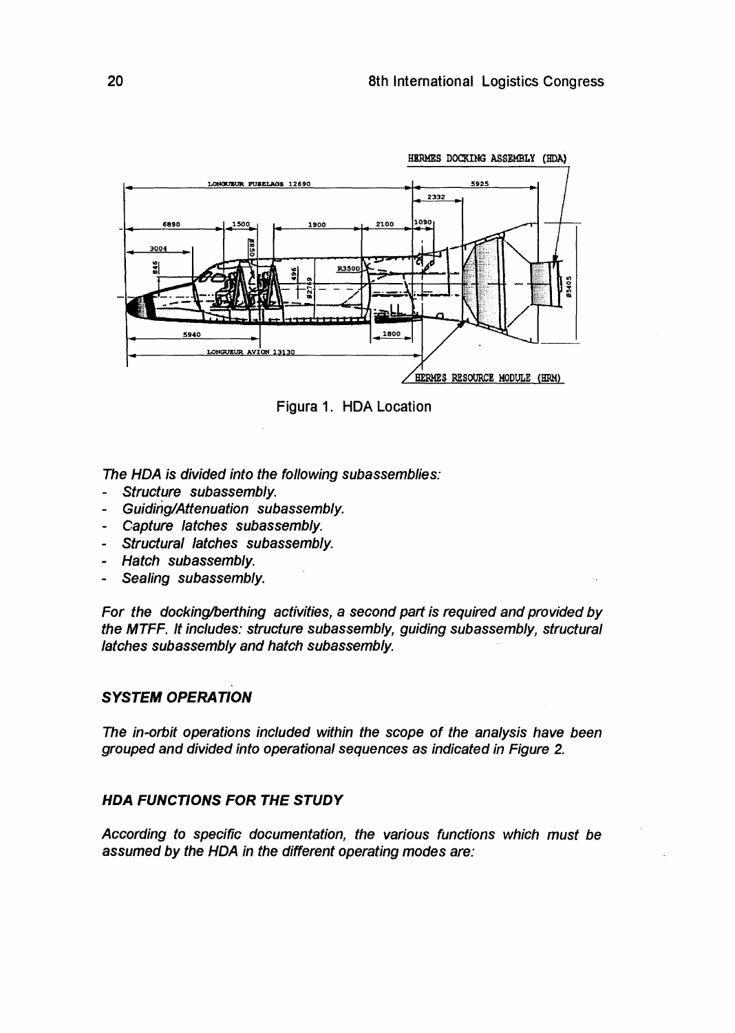

Figura 1. HDA Location

The HDA is divided into the following subassemblies:

- Structure subassembly.
- Guiding/Attenuation subassembly.
- Capture latches subassembly.
- Structural latches subassembly.
- Hatch subassembly.
- Sealing subassembly.

For the docking/berthing activities, a second part is required and provided by the MTFF. It includes: structure subassembly, guiding subassembly, structural latches subassembly and hatch subassembly.

## **SYSTEM OPERATION**

The in-orbit operations included within the scope of the analysis have been grouped and divided into operational sequences as indicated in Figure 2.

## **HDA FUNCTIONS FOR THE STUDY**

According to specific documentation, the various functions which must be assumed by the HDA in the different operating modes are: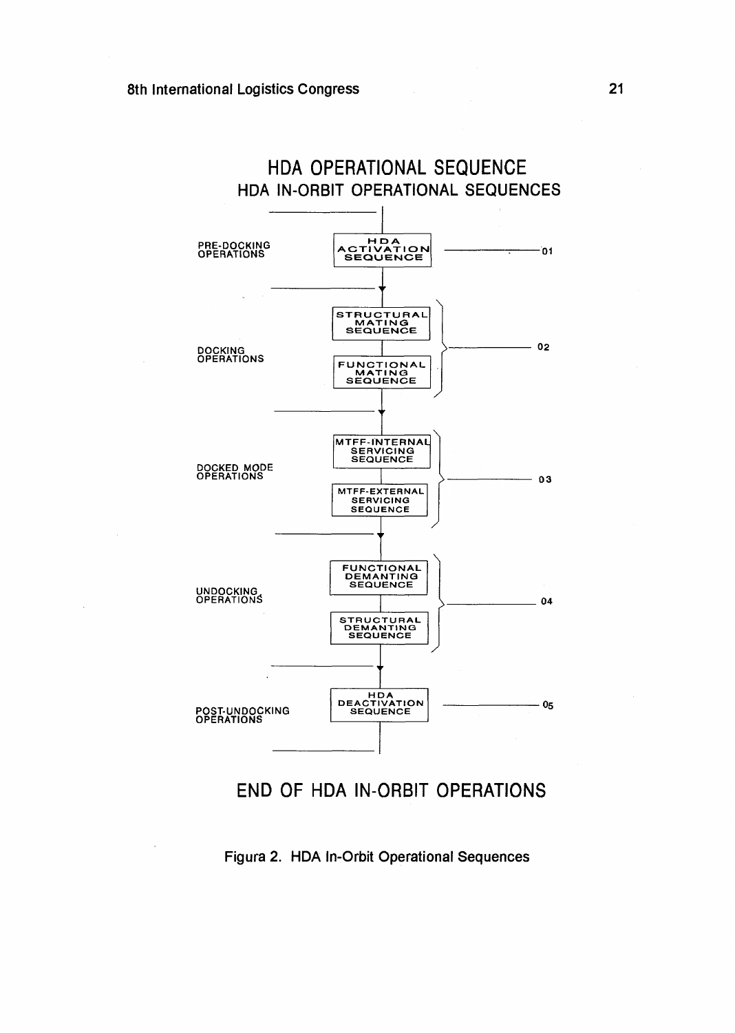

# **END OF HDA IN-ORBIT OPERATIONS**

**Figura 2. HDA In-Orbit Operational Sequences**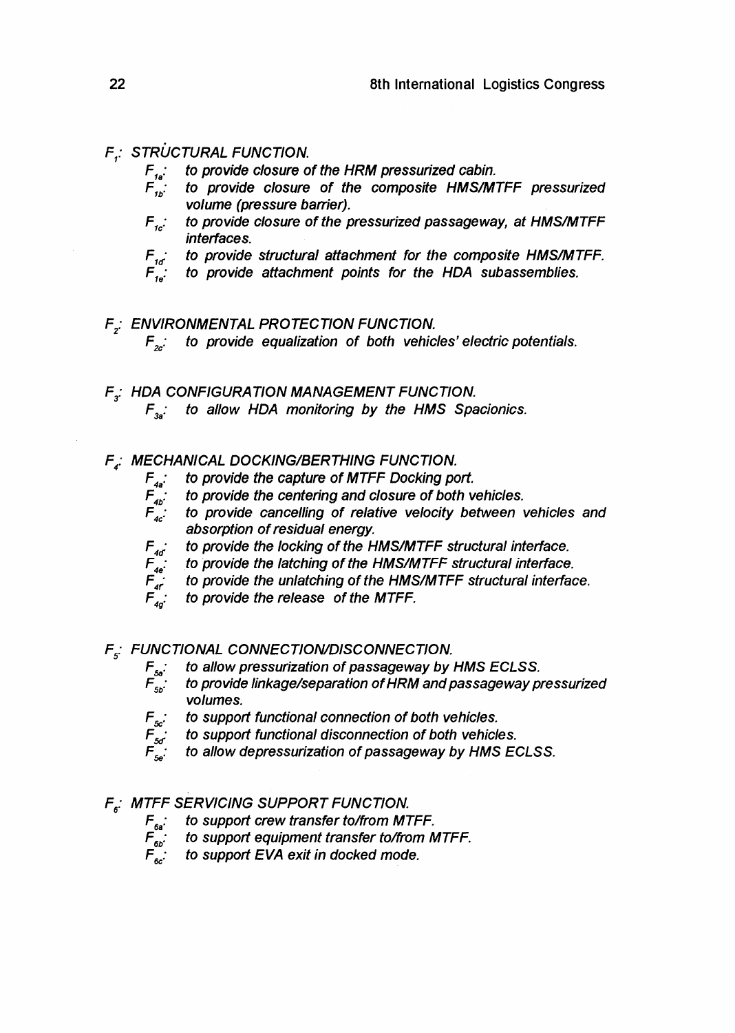# $F_i$ : STRUCTURAL FUNCTION.

- $F_{1a}$ : to provide closure of the HRM pressurized cabin.
- to provide closure of the composite HMS/MTFF pressurized volume (pressure barrier).
- $F_{1c}$ : to provide closure of the pressurized passageway, at HMS/MTFF interfaces.
- $F_{1d}$ : to provide structural attachment for the composite HMS/MTFF.<br> $F_{1d}$ : to provide attachment points for the HDA subassemblies.
- to provide attachment points for the HDA subassemblies.
- F<sub>2</sub>: ENVIRONMENTAL PROTECTION FUNCTION.  $F_{\infty}$ : to provide equalization of both vehicles' electric potentials.
- $F_{\sigma}$ : HDA CONFIGURATION MANAGEMENT FUNCTION.  $F_{3a}$ : to allow HDA monitoring by the HMS Spacionics.
- F.: MECHANICAL DOCKING/BERTHING FUNCTION.
	- to provide the capture of MTFF Docking port.  $F_{\mu\nu}$
	- $F_{ab}^{^{4a}}$ . to provide the centering and closure of both vehicles.
	- $\vec{F}_{4c}$ . to provide cancelling of relative velocity between vehicles and absorption of residual energy.
	- $F_{4d}$  to provide the locking of the HMS/MTFF structural interface.<br>  $F_{4e}$  to provide the latching of the HMS/MTFF structural interface<br>  $F_{4f}$  to provide the unlatching of the HMS/MTFF structural interface<br>  $F_{4g}$  t
		- to provide the latching of the HMS/MTFF structural interface.
		- to provide the unlatching of the HMS/MTFF structural interface.
		- to provide the release of the MTFF.

 $F_{5}$ : FUNCTIONAL CONNECTION/DISCONNECTION.<br> $F_{5a}$ : to allow pressurization of passageway by

- to allow pressurization of passageway by HMS ECLSS.
- $\overline{F}_{5b}$ : to provide linkage/separation of HRM and passageway pressurized volumes.
- $F_{5c}$ : to support functional connection of both vehicles.<br> $F_{5d}$ : to support functional disconnection of both vehicles.<br> $F_{5e}$ : to allow depressurization of passageway by HMS
	- to support functional disconnection of both vehicles.
	- to allow depressurization of passageway by HMS ECLSS.
- F<sub>5</sub>: MTFF SERVICING SUPPORT FUNCTION.
	- $F_{\delta a}$ : to support crew transfer to/from MTFF.
		-
	- $F_{6b}$ : to support equipment transfer to/from MTFF.<br> $F_{6b}$ : to support EVA exit in docked mode. to support EVA exit in docked mode.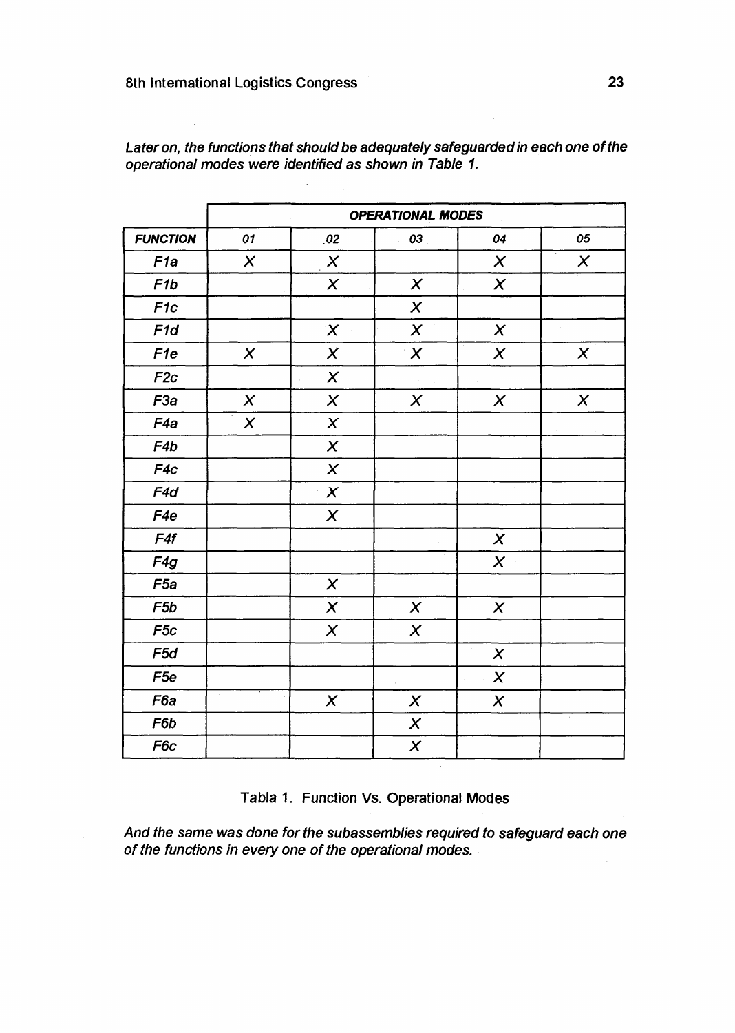|                 | <b>OPERATIONAL MODES</b>  |                           |                           |                           |                           |
|-----------------|---------------------------|---------------------------|---------------------------|---------------------------|---------------------------|
| <b>FUNCTION</b> | 01                        | .02                       | 03                        | 04                        | 05                        |
| F <sub>1a</sub> | $\boldsymbol{\mathsf{X}}$ | $\pmb{\times}$            |                           | $\boldsymbol{\mathsf{X}}$ | $\boldsymbol{\mathsf{X}}$ |
| F <sub>1b</sub> |                           | $\boldsymbol{X}$          | $\chi$                    | $\boldsymbol{\chi}$       |                           |
| F <sub>1c</sub> |                           |                           | $\boldsymbol{\mathsf{X}}$ |                           |                           |
| F <sub>1d</sub> |                           | $\boldsymbol{\chi}$       | $\pmb{\times}$            | $\chi$                    |                           |
| F <sub>1e</sub> | $\boldsymbol{X}$          | $\chi$                    | $\boldsymbol{\mathsf{X}}$ | $\boldsymbol{\chi}$       | $\pmb{\times}$            |
| F2c             |                           | $\boldsymbol{X}$          |                           |                           |                           |
| F <sub>3a</sub> | $\pmb{\times}$            | $\boldsymbol{\mathsf{X}}$ | $\boldsymbol{\mathsf{X}}$ | $\boldsymbol{\mathsf{X}}$ | $\pmb{\times}$            |
| F <sub>4a</sub> | $\pmb{\times}$            | $\pmb{\times}$            |                           |                           |                           |
| F4b             |                           | $\chi$                    |                           |                           |                           |
| F4c             |                           | $\boldsymbol{\mathsf{X}}$ |                           |                           |                           |
| F4d             |                           | $\chi$                    |                           |                           |                           |
| F <sub>4e</sub> |                           | $\boldsymbol{X}$          |                           |                           |                           |
| F4f             |                           |                           |                           | $\boldsymbol{\chi}$       |                           |
| F4g             |                           |                           |                           | $\boldsymbol{\mathsf{X}}$ |                           |
| F <sub>5a</sub> |                           | $\boldsymbol{X}$          |                           |                           |                           |
| F5b             |                           | $\boldsymbol{X}$          | $\pmb{\chi}$              | $\pmb{\times}$            |                           |
| F <sub>5c</sub> |                           | $\boldsymbol{\mathsf{X}}$ | $\boldsymbol{x}$          |                           |                           |
| F <sub>5d</sub> |                           |                           |                           | $\chi$                    |                           |
| F <sub>5e</sub> |                           |                           |                           | $\boldsymbol{\mathsf{X}}$ |                           |
| F <sub>6a</sub> |                           | $\boldsymbol{X}$          | $\boldsymbol{x}$          | $\boldsymbol{x}$          |                           |
| F6b             |                           |                           | $\boldsymbol{\mathsf{X}}$ |                           |                           |
| F6c             |                           |                           | $\boldsymbol{X}$          |                           |                           |

Later on, the functions that should be adequately safeguarded in each one of the **operational modes were identified as shown in Table 1.**

**Tabla 1. Function Vs. Operational Modes**

**And the same was done for the subassemblies required to safeguard each one of the functions in every one of the operational modes.**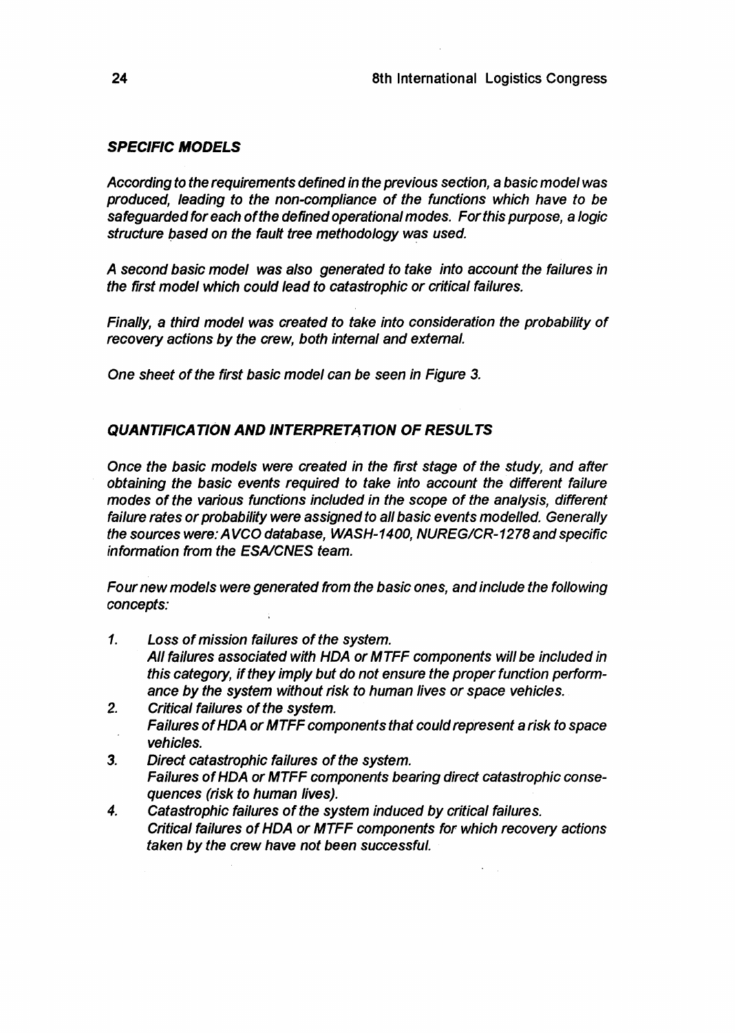# **SPECIFIC MODELS**

According to the requirements defined in the previous section, a basic model was produced, leading to the non-compliance of the functions which have to be safeguarded for each of the defined operational modes. For this purpose, a logic structure based on the fault tree methodology was used.

A second basic model was also generated to take into account the failures in the first model which could lead to catastrophic or critical failures.

Finally, a third model was created to take into consideration the probability of recovery actions by the crew, both internal and external.

One sheet of the first basic model can be seen in Figure 3.

# **QUANTIFICATION AND INTERPRETATION OF RESULTS**

Once the basic models were created in the first stage of the study, and after obtaining the basic events required to take into account the different failure modes of the various functions included in the scope of the analysis, different failure rates or probability were assigned to all basic events modelled. Generally the sources were: AVCO database, WASH-1400, NUREG/CR-1278 and specific information from the ESA/CNES team.

Four new models were generated from the basic ones, and include the following concepts:

- 1. Loss of mission failures of the system. All failures associated with HDA or MTFF components will be included in this category, if they imply but do not ensure the proper function performance by the system without risk to human lives or space vehicles.
- 2. Critical failures of the system. Failures of HDA or MTFF components that could represent a risk to space vehicles.
- 3. Direct catastrophic failures of the system. Failures of HDA or MTFF components bearing direct catastrophic consequences (risk to human lives).
- 4. Catastrophic failures of the system induced by critical failures. Critical failures of HDA or MTFF components for which recovery actions taken by the crew have not been successful.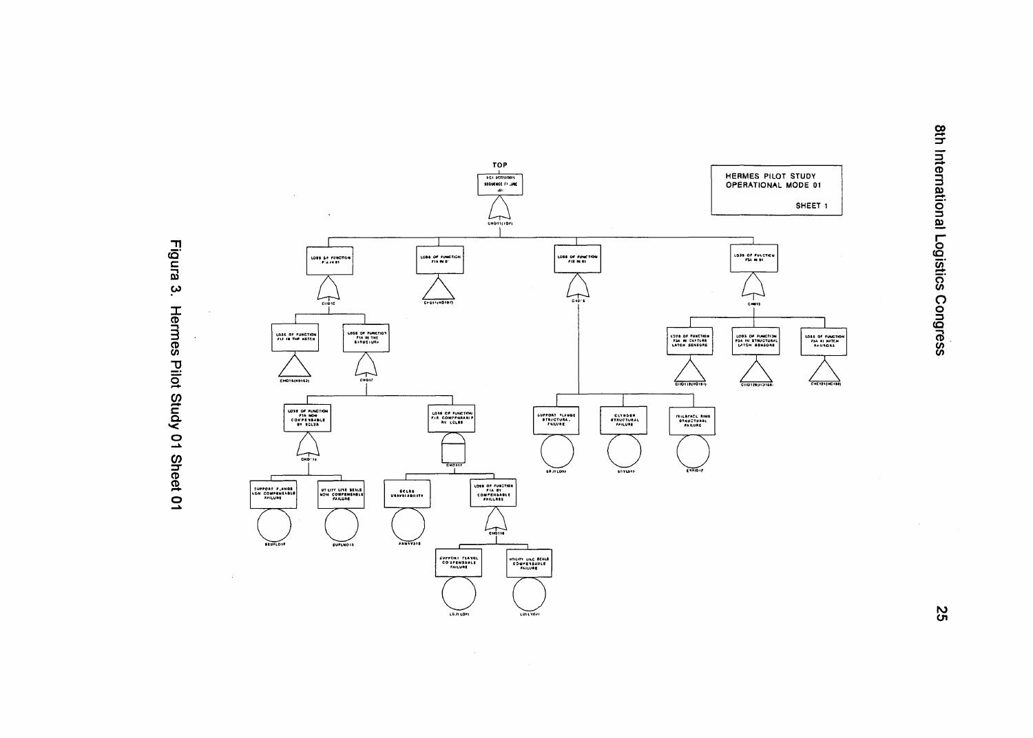

 $\sim$   $\sim$ 

Figura 3. Hermes Pilot Study 01 Sheet 01 8th International Logistics Congress

55

 $\sim$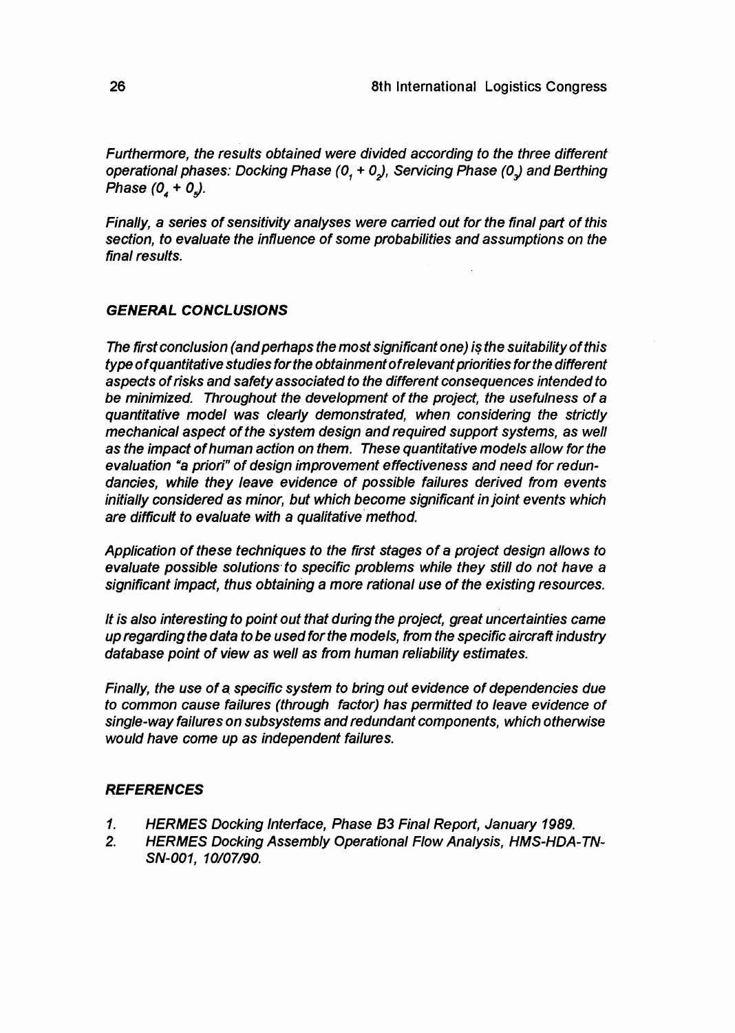Furthermore, the results obtained were divided according to the three different operational phases: Docking Phase  $(0, +0)$ , Servicing Phase  $(0, )$  and Berthing Phase  $(0_4 + 0_5)$ .

Finally, a series of sensitivity analyses were carried out for the final part of this section, to evaluate the influence of some probabilities and assumptions on the final results.

## **GENERAL CONCLUSIONS**

The first conclusion (and perhaps the most significant one) is the suitability of this type ofquantitative studies for the obtainmentofrelevant priorities for the different aspects of risks and safety associated to the different consequences intended to be minimized. Throughout the development of the project, the usefulness of a quantitative model was clearly demonstrated, when considering the strictly mechanical aspect of the system design and required support systems, as well as the impact of human action on them. These quantitative models allow for the evaluation "a priori" of design improvement effectiveness and need for redundancies, while they leave evidence of possible failures derived from events initially considered as minor, but which become significant in joint events which are difficult to evaluate with a qualitative method.

Application of these techniques to the first stages of a project design allows to evaluate possible solutions to specific problems while they still do not have a significant impact, thus obtaining a more rational use of the existing resources.

It is also interesting to point out that during the project, great uncertainties came up regarding the data to be used for the models, from the specific aircraft industry database point of view as well as from human reliability estimates.

Finally, the use of a specific system to bring out evidence of dependencies due to common cause failures (through factor) has permitted to leave evidence of single-way failures on subsystems and redundant components, which otherwise would have come up as independent failures.

### **REFERENCES**

- **1. HERMES** Docking Interface, Phase B3 Final Report, January **1989.**
- 2. **HERMES** Docking Assembly Operational Flow Analysis, HMS-HDA-TN-SN-001, 10/07/90.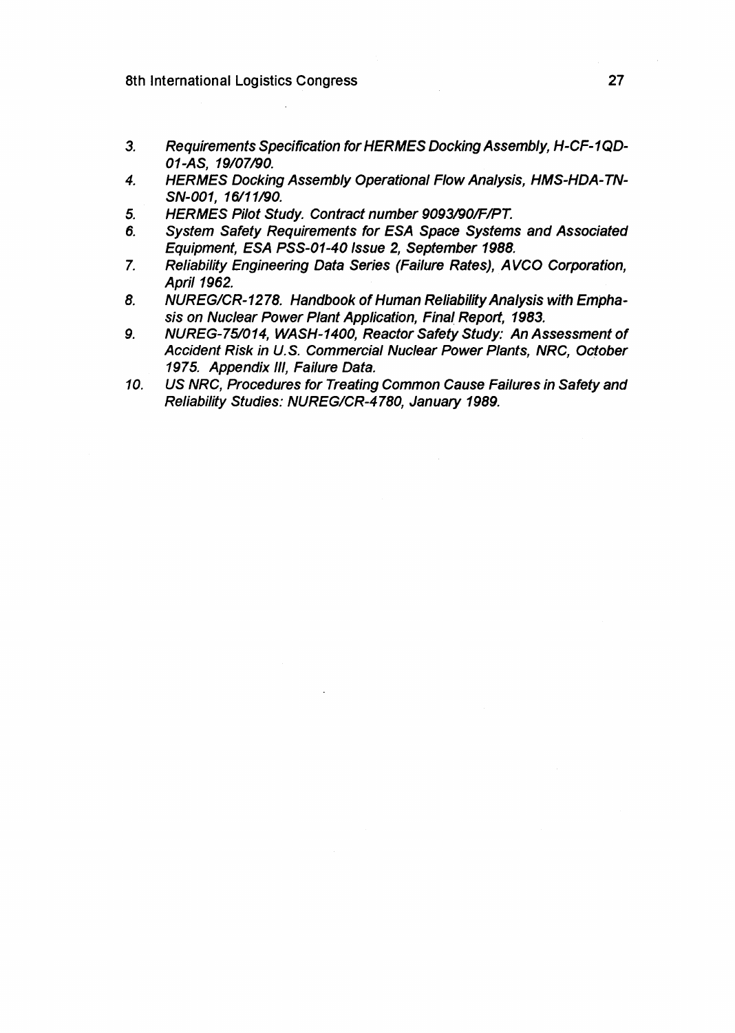- **3. Requirements Specification for HERMES Docking Assembly, H-CF-1QD-01-AS, 19/07/90.**
- **4. HERMES Docking Assembly Operational Flow Analysis, HMS-HDA-TN-SN-001, 16/11/90.**
- **5. HERMES Pilot Study. Contract number 9093/90/F/PT.**
- **6. System Safety Requirements for ESA Space Systems and Associated Equipment, ESA PSS-01-40 Issue 2, September 1988.**
- **7. Reliability Engineering Data Series (Failure Rates), AVCO Corporation, April 1962.**
- **8. NUREG/CR-1278. Handbook of Human Reliability Analysis with Emphasis on Nuclear Power Plant Application, Final Report, 1983.**
- **9. NUREG-75/014, WASH-1400, Reactor Safety Study: An Assessment of Accident Risk in U.S. Commercial Nuclear Power Plants, NRC, October 1975. Appendix III, Failure Data.**
- **10. US NRC, Procedures for Treating Common Cause Failures in Safety and Reliability Studies: NUREG/CR-4780, January 1989.**